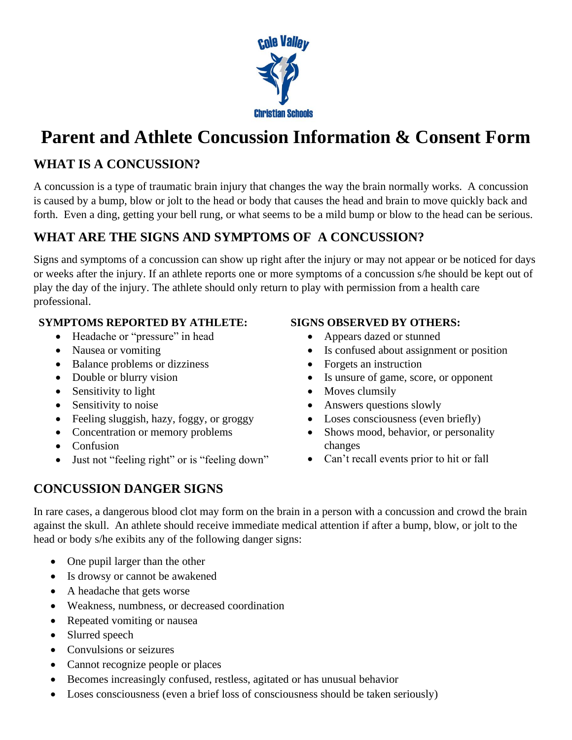

# **Parent and Athlete Concussion Information & Consent Form**

## **WHAT IS A CONCUSSION?**

A concussion is a type of traumatic brain injury that changes the way the brain normally works. A concussion is caused by a bump, blow or jolt to the head or body that causes the head and brain to move quickly back and forth. Even a ding, getting your bell rung, or what seems to be a mild bump or blow to the head can be serious.

# **WHAT ARE THE SIGNS AND SYMPTOMS OF A CONCUSSION?**

Signs and symptoms of a concussion can show up right after the injury or may not appear or be noticed for days or weeks after the injury. If an athlete reports one or more symptoms of a concussion s/he should be kept out of play the day of the injury. The athlete should only return to play with permission from a health care professional.

#### **SYMPTOMS REPORTED BY ATHLETE:**

- Headache or "pressure" in head
- Nausea or vomiting
- Balance problems or dizziness
- Double or blurry vision
- Sensitivity to light
- Sensitivity to noise
- Feeling sluggish, hazy, foggy, or groggy
- Concentration or memory problems
- Confusion
- Just not "feeling right" or is "feeling down"

#### **SIGNS OBSERVED BY OTHERS:**

- Appears dazed or stunned
- Is confused about assignment or position
- Forgets an instruction
- Is unsure of game, score, or opponent
- Moves clumsily
- Answers questions slowly
- Loses consciousness (even briefly)
- Shows mood, behavior, or personality changes
- Can't recall events prior to hit or fall

## **CONCUSSION DANGER SIGNS**

In rare cases, a dangerous blood clot may form on the brain in a person with a concussion and crowd the brain against the skull. An athlete should receive immediate medical attention if after a bump, blow, or jolt to the head or body s/he exibits any of the following danger signs:

- One pupil larger than the other
- Is drowsy or cannot be awakened
- A headache that gets worse
- Weakness, numbness, or decreased coordination
- Repeated vomiting or nausea
- Slurred speech
- Convulsions or seizures
- Cannot recognize people or places
- Becomes increasingly confused, restless, agitated or has unusual behavior
- Loses consciousness (even a brief loss of consciousness should be taken seriously)